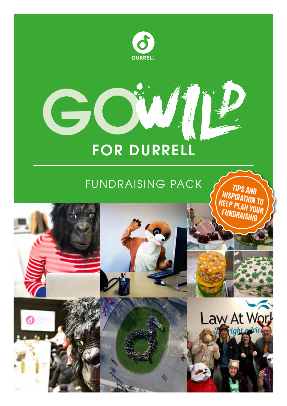

# FOR DURRELL

GO

# FUNDRAISING PACK

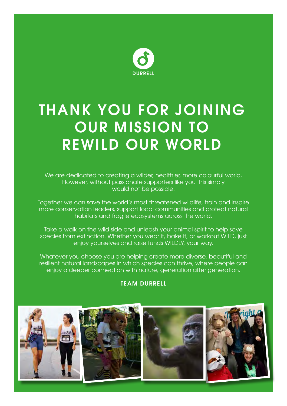

# THANK YOU FOR JOINING OUR MISSION TO REWILD OUR WORLD

We are dedicated to creating a wilder, healthier, more colourful world. However, without passionate supporters like you this simply would not be possible.

Together we can save the world's most threatened wildlife, train and inspire more conservation leaders, support local communities and protect natural habitats and fragile ecosystems across the world.

Take a walk on the wild side and unleash your animal spirit to help save species from extinction. Whether you wear it, bake it, or workout WILD, just enjoy yourselves and raise funds WILDLY, your way.

Whatever you choose you are helping create more diverse, beautiful and resilient natural landscapes in which species can thrive, where people can enjoy a deeper connection with nature, generation after generation.

### TEAM DURRELL

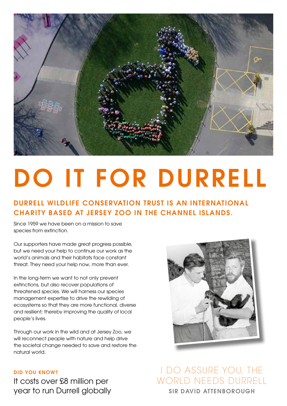

# DO IT FOR DURRELL

### DURRELL WILDLIFE CONSERVATION TRUST IS AN INTERNATIONAL CHARITY BASED AT JERSEY ZOO IN THE CHANNEL ISLANDS.

Since 1959 we have been on a mission to save species from extinction.

Our supporters have made great progress possible, but we need your help to continue our work as the world's animals and their habitats face constant threat. They need your help now, more than ever.

In the long-term we want to not only prevent extinctions, but also recover populations of threatened species. We will harness our species management expertise to drive the rewilding of ecosystems so that they are more functional, diverse and resilient; thereby improving the quality of local people's lives.

Through our work in the wild and at Jersey Zoo, we will reconnect people with nature and help drive the societal change needed to save and restore the natural world.

### DID YOU KNOW?

It costs over £8 million per year to run Durrell globally



I DO ASSURE YOU, THE WORLD NEEDS DURRELL SIR DAVID ATTENBOROUGH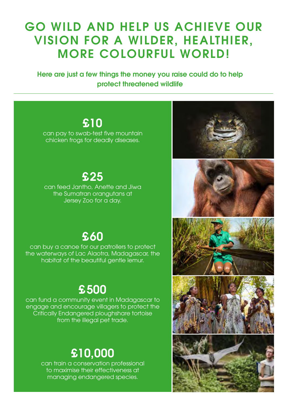# GO WILD AND HELP US ACHIEVE OUR VISION FOR A WILDER, HEALTHIER, MORE COLOURFUL WORLD!

Here are just a few things the money you raise could do to help protect threatened wildlife

### £10

can pay to swab-test five mountain chicken frogs for deadly diseases.

### £25

can feed Jantho, Anette and Jiwa the Sumatran orangutans at Jersey Zoo for a day.

### £60

can buy a canoe for our patrollers to protect the waterways of Lac Alaotra, Madagascar, the habitat of the beautiful gentle lemur.

# £500

can fund a community event in Madagascar to engage and encourage villagers to protect the Critically Endangered ploughshare tortoise from the illegal pet trade.

# £10,000

can train a conservation professional to maximise their effectiveness at managing endangered species.









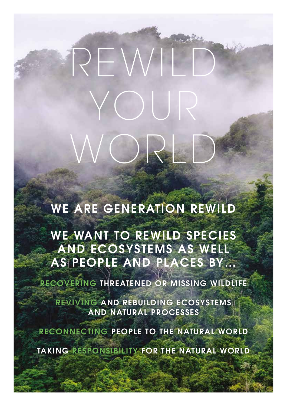WE ARE GENERATION REWILD

WORLD

REWILD

YOUR

WE WANT TO REWILD SPECIES AND ECOSYSTEMS AS WELL AS PEOPLE AND PLACES BY…

RECOVERING THREATENED OR MISSING WILDLIFE

REVIVING AND REBUILDING ECOSYSTEMS AND NATURAL PROCESSES

RECONNECTING PEOPLE TO THE NATURAL WORLD

TAKING RESPONSIBILITY FOR THE NATURAL WORLD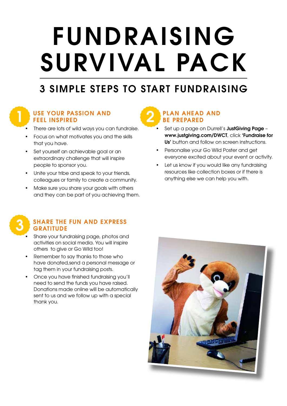# FUNDRAISING SURVIVAL PACK

### 3 SIMPLE STEPS TO START FUNDRAISING



### USE YOUR PASSION AND FEEL INSPIRED

- There are lots of wild ways you can fundraise.
- Focus on what motivates you and the skills that you have.
- Set yourself an achievable goal or an extraordinary challenge that will inspire people to sponsor you.
- Unite your tribe and speak to your friends, colleagues or family to create a community.
- Make sure you share your goals with others and they can be part of you achieving them.



### SHARE THE FUN AND EXPRESS **GRATITUDE**

- Share your fundraising page, photos and activities on social media. You will inspire others to give or Go Wild too!
- Remember to say thanks to those who have donated,send a personal message or tag them in your fundraising posts.
- Once you have finished fundraising you'll need to send the funds you have raised. Donations made online will be automatically sent to us and we follow up with a special thank you.

### PLAN AHEAD AND BE PREPARED

- Set up a page on Durrell's JustGiving Page www.justgiving.com/DWCT, click 'Fundraise for Us' button and follow on screen instructions.
- Personalise your Go Wild Poster and get everyone excited about your event or activity.
- Let us know if you would like any fundraising resources like collection boxes or if there is anything else we can help you with.

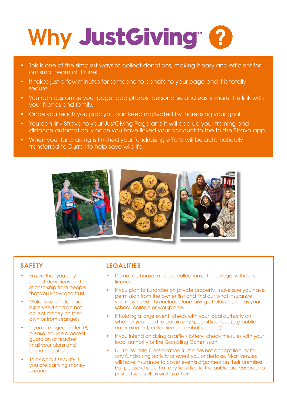# Why JustGiving 2

- This is one of the simplest ways to collect donations, making it easy and efficient for our small team at Durrell.
- It takes just a few minutes for someone to donate to your page and it is totally secure.
- You can customise your page, add photos, personalise and easily share the link with your friends and family.
- Once you reach you goal you can keep motivated by increasing your goal.
- You can link Strava to your JustGiving Page and it will add up your training and distance automatically once you have linked your account to the to the Strava app.
- When your fundraising is finished your fundraising efforts will be automatically transferred to Durrell to help save wildlife.



### **SAFETY**

- Ensure that you only collect donations and sponsorship from people that you know and trust.
- Make sure children are supervised and do not collect money on their own or from strangers.
- If you are aged under 18, please include a parent, guardian or teacher in all your plans and communications.
- Think about security if you are carrying money around.

### LEGALITIES

- Do not do house to house collections this is illegal without a licence.
- If you plan to fundraise on private property, make sure you have permission from the owner first and find out what insurance you may need. This includes fundraising at places such as your school, college or workplace.
- If holding a large event, check with your local authority on whether you need to obtain any special licences (e.g.public entertainment, collection or alcohol licences).
- If you intend on doing a raffle / lottery, check the rules with your local authority or the Gambling Commission.
- Durrell Wildlife Conservation Trust does not accept liability for any fundraising activity or event you undertake. Most venues will have insurance to cover events organised on their premises but please check that any liabilities to the public are covered to protect yourself as well as others.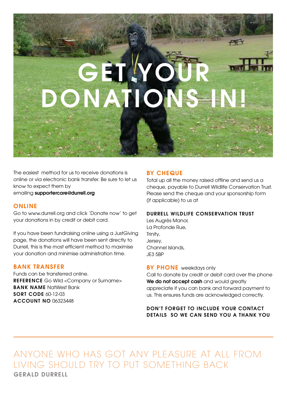# GET YO ONATION

The easiest method for us to receive donations is online or via electronic bank transfer. Be sure to let us know to expect them by emailing supportercare@durrell.org

### ONLINE

Go to www.durrell.org and click 'Donate now' to get your donations in by credit or debit card.

If you have been fundraising online using a JustGiving page, the donations will have been sent directly to Durrell, this is the most efficient method to maximise your donation and minimise administration time.

### BANK TRANSFER

Funds can be transferred online. REFERENCE Go Wild <Company or Surname> **BANK NAME NatWest Bank** SORT CODE 60-12-03 ACCOUNT NO 06323448

### BY CHEQUE

Total up all the money raised offline and send us a cheque, payable to Durrell Wildlife Conservation Trust. Please send the cheque and your sponsorship form (if applicable) to us at

开采

#### DURRELL WILDLIFE CONSERVATION TRUST

Les Augrès Manor, La Profonde Rue, Trinity, Jersey, Channel Islands, JE3 5BP

#### **BY PHONE** weekdays only

Call to donate by credit or debit card over the phone We do not accept cash and would greatly appreciate if you can bank and forward payment to us. This ensures funds are acknowledged correctly.

### DON'T FORGET TO INCLUDE YOUR CONTACT DETAILS SO WE CAN SEND YOU A THANK YOU

ANYONE WHO HAS GOT ANY PLEASURE AT ALL FROM LIVING SHOULD TRY TO PUT SOMETHING BACK GERALD DURRELL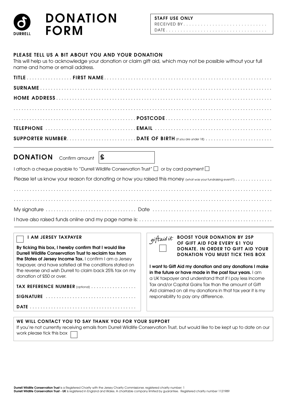

#### PLEASE TELL US A BIT ABOUT YOU AND YOUR DONATION

This will help us to acknowledge your donation or claim gift aid, which may not be possible without your full name and home or email address.

**DONATION** Confirm amount  $\mathbf{\mathbf{\mathbf{\mathbf{\mathsf{S}}}}}$ 

I attach a cheque payable to "Durrell Wildlife Conservation Trust"  $\Box$  or by card payment  $\Box$ 

Please let us know your reason for donating or how you raised this money (what was your fundraising event?). .

#### I AM JERSEY TAXPAYER

By ticking this box, I hereby confirm that I would like Durrell Wildlife Conservation Trust to reclaim tax from the States of Jersey Income Tax. I confirm I am a Jersey taxpayer, and have satisfied all the conditions stated on the reverse and wish Durrell to claim back 25% tax on my donation of £50 or over. TAX REFERENCE NUMBER (optional) . . . . . . . . . . . . . . . . .

DATE. .

SIGNATURE . .

|            | ∪∪   |
|------------|------|
| giftaid ut | OF G |
|            | DON  |
|            | DON  |
|            |      |

 $\mathbf{r}$  . The set of  $\mathbf{r}$ 

BOOST YOUR DONATION BY 25P **SIFT AID FOR EVERY £1 YOU** ATE. IN ORDER TO GIFT AID YOUR ATION YOU MUST TICK THIS BOX

I want to Gift Aid my donation and any donations I make in the future or have made in the past four years. I am a UK taxpayer and understand that if I pay less Income Tax and/or Capital Gains Tax than the amount of Gift Aid claimed on all my donations in that tax year it is my responsibility to pay any difference.

| WE WILL CONTACT YOU TO SAY THANK YOU FOR YOUR SUPPORT                                                                          |
|--------------------------------------------------------------------------------------------------------------------------------|
| If you're not currently receiving emails from Durrell Wildlife Conservation Trust, but would like to be kept up to date on our |
| work please tick this box $\Box$                                                                                               |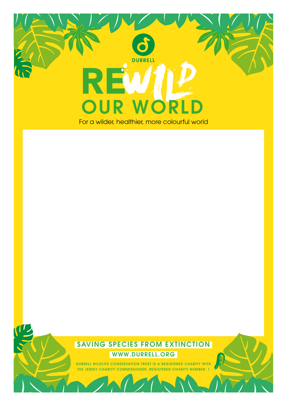

### SAVING SPECIES FROM EXTINCTION WWW.DURRELL.ORG

DURRELL WILDLIFE CONSERVATION TRUST IS A REGISTERED CHARITY WITH THE JERSEY CHARITY COMMISSIONER, REGISTERED CHARITY NUMBER: 1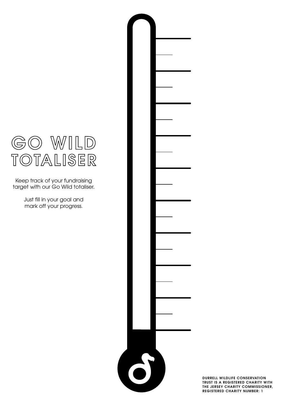

Keep track of your fundraising target with our Go Wild totaliser.

> Just fill in your goal and mark off your progress.

> > DURRELL WILDLIFE CONSERVATION TRUST IS A REGISTERED CHARITY WITH THE JERSEY CHARITY COMMISSIONER, REGISTERED CHARITY NUMBER: 1